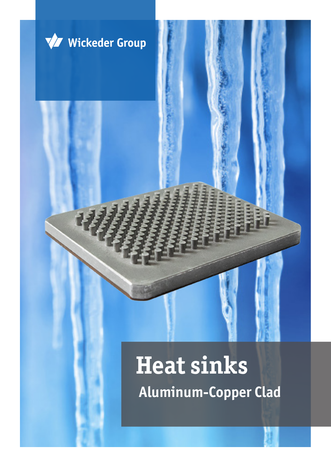